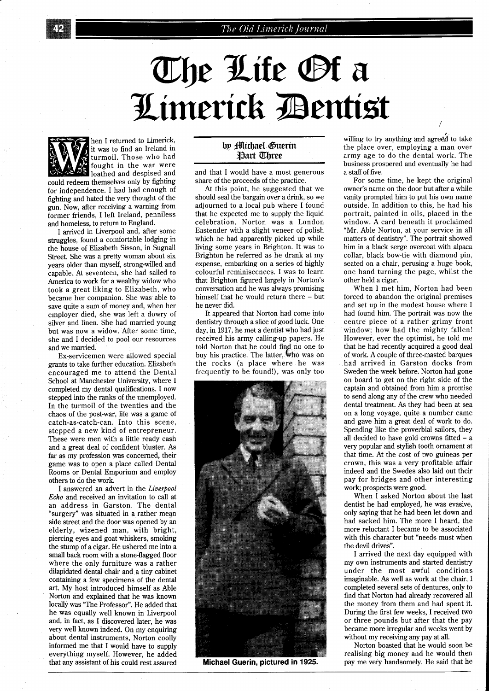## The Life Of a Limerick Dentist



hen I returned to Limerick, it was to find an Ireland in turmoil. Those who had fought in the war were **S** loathed and despised and could redeem themselves only by fighting for independence. I had had enough of

fighting and hated the very thought of the gun. Now, after receiving a warning from former friends, I left Ireland, penniless and homeless, to return to England.

I arrived in Liverpool and, after some struggles, found a comfortable lodging in the house of Elizabeth Sisson, in Sugnall Street. She was a pretty woman about six years older than myself, strong-willed and capable. At seventeen, she had sailed to America to work for a wealthy widow who took a great liking to Elizabeth, who became her companion. She was able to save quite a sum of money and, when her employer died, she was left a dowry of silver and linen. She had married young but was now a widow. After some time, she and I decided to pool our resources and we married.

Ex-servicemen were allowed special grants to take further education. Elizabeth encouraged me to attend the Dental School at Manchester University, where I completed my dental qualifications. I now stepped into the ranks of the unemployed. In the turmoil of the twenties and the chaos of the post-war, life was a game of catch-as-catch-can. Into this scene, stepped a new kind of entrepreneur. These were men with a little ready cash and a great deal of confident bluster. As far as my profession was concerned, their game was to open a place called Dental Rooms or Dental Emporium and employ others to do the work.

I answered an advert in the *Liverpool Echo* and received an invitation to call at an address in Garston. The dental "surgery" was situated in a rather mean side street and the door was opened by an elderly, wizened man, with bright, piercing eyes and goat whiskers, smoking the stump of a cigar. He ushered me into a small back room with a stone-flagged floor where the only furniture was a rather dilapidated dental chair and a tiny cabinet containing a few specimens of the dental art. My host introduced himself as Able Norton and explained that he was known locally was 'The Professor". He added that he was equally well known in Liverpool and, in fact, as I discovered later, he was very well known indeed. On my enquiring about dental instruments, Norton coolly informed me that I would have to supply everything myself. However, he added that any assistant of his could rest assured

## by **Michael Suerin Part Three**

and that I would have a most generous share of the proceeds of the practice.

At this point, he suggested that we should seal the bargain over a drink, so we adjourned to a local pub where I found that he expected me to supply the liquid celebration. Norton was a London Eastender with a slight veneer of polish which he had apparently picked up while living some years in Brighton. It was to Brighton he referred as he drank at my expense, embarking on a series of highly colourful reminiscences. I was to learn that Brighton figured largely in Norton's conversation and he was always promising himself that he would return there - but he never did.

It appeared that Norton had come into dentistry through a slice of good luck. One day, in 1917, he met a dentist who had just received his army calling-up papers. He told Norton that he could find no one to buy his practice. The latter, who was on the rocks (a place where he was frequently to be found!), was only too



Michael Guerin, pictured in 1925.

willing to try anything and agreed to take the place over, employing a man over army age to do the dental work. The business prospered and eventually he had a staff of five.

For some time, he kept the original owner's name on the door but after a while vanity prompted him to put his own name outside. In addition to this, he had his portrait, painted in oils, placed in the window. A card beneath it proclaimed "Mr. Able Norton, at your service in all matters of dentistry". The portrait showed him in a black serge overcoat with alpaca collar, black bow-tie with diamond pin, seated on a chair, perusing a huge book, one hand turning the page, whilst the other held a cigar.

When I met him. Norton had been forced to abandon the original premises and set up in the modest house where I had found him. The portrait was now the centre piece of a rather grimy front window; how had the mighty fallen! However, ever the optimist, he told me that he had recently acquired a good deal of work. A couple of three-masted barques had arrived in Garston docks from Sweden the week before. Norton had gone on board to get on the right side of the captain and obtained from him a promise to send along any of the crew who needed dental treatment. As they had been at sea on a long voyage, quite a number came and gave him a great deal of work to do. Spending like the proverbial sailors, they all decided to have gold crowns fitted  $-$  a very popular and stylish tooth ornament at that time. At the cost of two guineas per crown, this was a very profitable affair indeed and the Swedes also laid out their pay for bridges and other interesting work; prospects were good.

When I asked Norton about the last dentist he had employed, he was evasive, only saying that he had been let down and had sacked him. The more I heard, the more reluctant I became to be associated with this character but "needs must when the devil drives".

I arrived the next day equipped with my own instruments and started dentistry under the most awful conditions imaginable. As well as work at the chair, I completed several sets of dentures, only to find that Norton had already recovered all the money from them and had spent it. During the first few weeks, I received two or three pounds but after that the pay became more irregular and weeks went by without my receiving any pay at all.

Norton boasted that he would soon be realising big money and he would then pay me very handsomely. He said that he